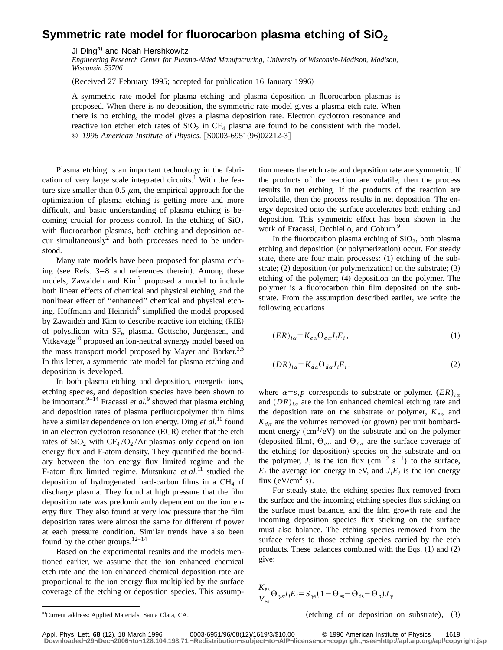## Symmetric rate model for fluorocarbon plasma etching of SiO<sub>2</sub>

Ji Ding<sup>a)</sup> and Noah Hershkowitz

*Engineering Research Center for Plasma-Aided Manufacturing, University of Wisconsin-Madison, Madison, Wisconsin 53706*

(Received 27 February 1995; accepted for publication 16 January 1996)

A symmetric rate model for plasma etching and plasma deposition in fluorocarbon plasmas is proposed. When there is no deposition, the symmetric rate model gives a plasma etch rate. When there is no etching, the model gives a plasma deposition rate. Electron cyclotron resonance and reactive ion etcher etch rates of  $SiO<sub>2</sub>$  in CF<sub>4</sub> plasma are found to be consistent with the model. © 1996 American Institute of Physics. [S0003-6951(96)02212-3]

Plasma etching is an important technology in the fabrication of very large scale integrated circuits.<sup>1</sup> With the feature size smaller than  $0.5 \mu m$ , the empirical approach for the optimization of plasma etching is getting more and more difficult, and basic understanding of plasma etching is becoming crucial for process control. In the etching of  $SiO<sub>2</sub>$ with fluorocarbon plasmas, both etching and deposition occur simultaneously<sup>2</sup> and both processes need to be understood.

Many rate models have been proposed for plasma etching (see Refs.  $3-8$  and references therein). Among these models, Zawaideh and  $Kim<sup>7</sup>$  proposed a model to include both linear effects of chemical and physical etching, and the nonlinear effect of ''enhanced'' chemical and physical etching. Hoffmann and Heinrich<sup>8</sup> simplified the model proposed by Zawaideh and Kim to describe reactive ion etching (RIE) of polysilicon with  $SF_6$  plasma. Gottscho, Jurgensen, and Vitkavage<sup>10</sup> proposed an ion-neutral synergy model based on the mass transport model proposed by Mayer and Barker.<sup>3,5</sup> In this letter, a symmetric rate model for plasma etching and deposition is developed.

In both plasma etching and deposition, energetic ions, etching species, and deposition species have been shown to be important.<sup>9–14</sup> Fracassi *et al.*<sup>9</sup> showed that plasma etching and deposition rates of plasma perfluoropolymer thin films have a similar dependence on ion energy. Ding *et al.*<sup>10</sup> found in an electron cyclotron resonance  $(ECR)$  etcher that the etch rates of  $SiO<sub>2</sub>$  with  $CF<sub>4</sub>/O<sub>2</sub>/Ar$  plasmas only depend on ion energy flux and F-atom density. They quantified the boundary between the ion energy flux limited regime and the F-atom flux limited regime. Mutsukura *et al.*<sup>11</sup> studied the deposition of hydrogenated hard-carbon films in a  $CH<sub>4</sub>$  rf discharge plasma. They found at high pressure that the film deposition rate was predominantly dependent on the ion energy flux. They also found at very low pressure that the film deposition rates were almost the same for different rf power at each pressure condition. Similar trends have also been found by the other groups. $12-14$ 

Based on the experimental results and the models mentioned earlier, we assume that the ion enhanced chemical etch rate and the ion enhanced chemical deposition rate are proportional to the ion energy flux multiplied by the surface coverage of the etching or deposition species. This assumption means the etch rate and deposition rate are symmetric. If the products of the reaction are volatile, then the process results in net etching. If the products of the reaction are involatile, then the process results in net deposition. The energy deposited onto the surface accelerates both etching and deposition. This symmetric effect has been shown in the work of Fracassi, Occhiello, and Coburn.<sup>9</sup>

In the fluorocarbon plasma etching of  $SiO<sub>2</sub>$ , both plasma etching and deposition (or polymerization) occur. For steady state, there are four main processes:  $(1)$  etching of the substrate;  $(2)$  deposition (or polymerization) on the substrate;  $(3)$ etching of the polymer;  $(4)$  deposition on the polymer. The polymer is a fluorocarbon thin film deposited on the substrate. From the assumption described earlier, we write the following equations

$$
(ER)_{i\alpha} = K_{e\alpha} \Theta_{e\alpha} J_i E_i, \qquad (1)
$$

$$
(DR)_{i\alpha} = K_{d\alpha} \Theta_{d\alpha} J_i E_i, \qquad (2)
$$

where  $\alpha = s$ ,*p* corresponds to substrate or polymer.  $(ER)_{i\alpha}$ and  $(DR)_{i\alpha}$  are the ion enhanced chemical etching rate and the deposition rate on the substrate or polymer,  $K_{\epsilon\alpha}$  and  $K_{d\alpha}$  are the volumes removed (or grown) per unit bombardment energy  $(cm<sup>3</sup>/eV)$  on the substrate and on the polymer (deposited film),  $\Theta_{e\alpha}$  and  $\Theta_{d\alpha}$  are the surface coverage of the etching (or deposition) species on the substrate and on the polymer,  $J_i$  is the ion flux  $\text{ (cm}^{-2} \text{ s}^{-1})$  to the surface,  $E_i$ ; the average ion energy in eV, and  $J_iE_i$  is the ion energy flux ( $eV/cm^2$  s).

For steady state, the etching species flux removed from the surface and the incoming etching species flux sticking on the surface must balance, and the film growth rate and the incoming deposition species flux sticking on the surface must also balance. The etching species removed from the surface refers to those etching species carried by the etch products. These balances combined with the Eqs.  $(1)$  and  $(2)$ give:

$$
\frac{K_{\rm es}}{V_{\rm es}} \Theta_{\gamma s} J_i E_i = S_{\gamma s} (1 - \Theta_{\rm es} - \Theta_{\rm ds} - \Theta_p) J_{\gamma}
$$

(etching of or deposition on substrate),  $(3)$ 

Appl. Phys. Lett. **68** (12), 18 March 1996 0003-6951/96/68(12)/1619/3/\$10.00 © 1996 American Institute of Physics 1619 **Downloaded¬29¬Dec¬2006¬to¬128.104.198.71.¬Redistribution¬subject¬to¬AIP¬license¬or¬copyright,¬see¬http://apl.aip.org/apl/copyright.jsp**

a)Current address: Applied Materials, Santa Clara, CA.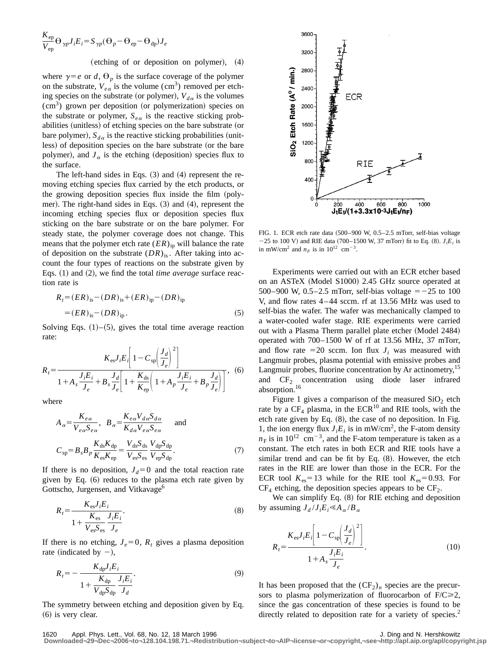$$
\frac{K_{ep}}{V_{ep}} \Theta_{\gamma p} J_i E_i = S_{\gamma p} (\Theta_p - \Theta_{ep} - \Theta_{dp}) J_e
$$

## (etching of or deposition on polymer),  $(4)$

where  $\gamma = e$  or *d*,  $\Theta_p$  is the surface coverage of the polymer on the substrate,  $V_{e\alpha}$  is the volume (cm<sup>3</sup>) removed per etching species on the substrate (or polymer),  $V_{d\alpha}$  is the volumes  $(cm<sup>3</sup>)$  grown per deposition (or polymerization) species on the substrate or polymer,  $S_{e\alpha}$  is the reactive sticking probabilities (unitless) of etching species on the bare substrate (or bare polymer),  $S_{d\alpha}$  is the reactive sticking probabilities (unitless) of deposition species on the bare substrate (or the bare polymer), and  $J_{\alpha}$  is the etching (deposition) species flux to the surface.

The left-hand sides in Eqs.  $(3)$  and  $(4)$  represent the removing etching species flux carried by the etch products, or the growing deposition species flux inside the film (polymer). The right-hand sides in Eqs.  $(3)$  and  $(4)$ , represent the incoming etching species flux or deposition species flux sticking on the bare substrate or on the bare polymer. For steady state, the polymer coverage does not change. This means that the polymer etch rate  $(ER)_{ip}$  will balance the rate of deposition on the substrate  $(DR)_{is}$ . After taking into account the four types of reactions on the substrate given by Eqs. (1) and (2), we find the total *time average* surface reaction rate is

$$
R_{t} = (ER)_{is} - (DR)_{is} + (ER)_{ip} - (DR)_{ip}
$$
  
=  $(ER)_{is} - (DR)_{ip}$ . (5)

Solving Eqs.  $(1)$ – $(5)$ , gives the total time average reaction rate:

$$
R_{t} = \frac{K_{\rm es}J_{i}E_{i}\left[1 - C_{\rm sp}\left(\frac{J_{d}}{J_{e}}\right)^{2}\right]}{1 + A_{s}\frac{J_{i}E_{i}}{J_{e}} + B_{s}\frac{J_{d}}{J_{e}}\left[1 + \frac{K_{\rm ds}}{K_{\rm ep}}\left(1 + A_{p}\frac{J_{i}E_{i}}{J_{e}} + B_{p}\frac{J_{d}}{J_{e}}\right)\right]},
$$
 (6)

where

$$
A_{\alpha} = \frac{K_{e\alpha}}{V_{e\alpha}S_{e\alpha}}, \quad B_{\alpha} = \frac{K_{e\alpha}V_{d\alpha}S_{d\alpha}}{K_{d\alpha}V_{e\alpha}S_{e\alpha}} \quad \text{and}
$$

$$
C_{sp} = B_{s}B_{p}\frac{K_{ds}K_{dp}}{K_{es}K_{ep}} = \frac{V_{ds}S_{ds}}{V_{es}S_{es}}\frac{V_{dp}S_{dp}}{V_{ep}S_{dp}}.
$$
(7)

If there is no deposition,  $J_d=0$  and the total reaction rate given by Eq.  $(6)$  reduces to the plasma etch rate given by Gottscho, Jurgensen, and Vitkavage<sup>6</sup>

$$
R_{t} = \frac{K_{\text{es}}J_{i}E_{i}}{1 + \frac{K_{\text{es}}}{V_{\text{es}}S_{\text{es}}}\frac{J_{i}E_{i}}{J_{e}}}. \tag{8}
$$

If there is no etching,  $J_e=0$ ,  $R_t$  gives a plasma deposition rate (indicated by  $-$ ),

$$
R_{t} = -\frac{K_{dp}J_{i}E_{i}}{1 + \frac{K_{dp}}{V_{dp}S_{dp}}\frac{J_{i}E_{i}}{J_{d}}}
$$
\n(9)

The symmetry between etching and deposition given by Eq.  $(6)$  is very clear.



FIG. 1. ECR etch rate data  $(500-900 \text{ W}, 0.5-2.5 \text{ mTorr}, \text{self-bias voltage})$  $-25$  to 100 V) and RIE data (700–1500 W, 37 mTorr) fit to Eq. (8).  $J_iE_i$  is in mW/cm<sup>2</sup> and  $n_F$  is in 10<sup>12</sup> cm<sup>-3</sup>.

Experiments were carried out with an ECR etcher based on an ASTeX (Model S1000) 2.45 GHz source operated at 500–900 W, 0.5–2.5 mTorr, self-bias voltage  $=$  -25 to 100 V, and flow rates 4 – 44 sccm. rf at 13.56 MHz was used to self-bias the wafer. The wafer was mechanically clamped to a water-cooled wafer stage. RIE experiments were carried out with a Plasma Therm parallel plate etcher (Model 2484) operated with 700–1500 W of rf at 13.56 MHz, 37 mTorr, and flow rate  $=20$  sccm. Ion flux  $J_i$  was measured with Langmuir probes, plasma potential with emissive probes and Langmuir probes, fluorine concentration by Ar actinometry,<sup>15</sup> and  $CF<sub>2</sub>$  concentration using diode laser infrared absorption.<sup>16</sup>

Figure 1 gives a comparison of the measured  $SiO<sub>2</sub>$  etch rate by a  $CF_4$  plasma, in the  $ECR^{10}$  and RIE tools, with the etch rate given by Eq.  $(8)$ , the case of no deposition. In Fig. 1, the ion energy flux  $J_iE_i$  is in mW/cm<sup>2</sup>, the F-atom density  $n_F$  is in 10<sup>12</sup> cm<sup>-3</sup>, and the F-atom temperature is taken as a constant. The etch rates in both ECR and RIE tools have a similar trend and can be fit by Eq.  $(8)$ . However, the etch rates in the RIE are lower than those in the ECR. For the ECR tool  $K_{\text{es}}=13$  while for the RIE tool  $K_{\text{es}}=0.93$ . For  $CF_4$  etching, the deposition species appears to be  $CF_2$ .

We can simplify Eq.  $(8)$  for RIE etching and deposition by assuming  $J_d / J_i E_i \ll A_\alpha / B_\alpha$ 

$$
R_{t} = \frac{K_{\text{es}}J_{i}E_{i}\left[1 - C_{\text{sp}}\left(\frac{J_{d}}{J_{e}}\right)^{2}\right]}{1 + A_{s}\frac{J_{i}E_{i}}{J_{e}}}. \tag{10}
$$

It has been proposed that the  $(CF_2)_n$  species are the precursors to plasma polymerization of fluorocarbon of  $F/C \ge 2$ , since the gas concentration of these species is found to be directly related to deposition rate for a variety of species.<sup>2</sup>

1620 Appl. Phys. Lett., Vol. 68, No. 12, 18 March 1996 **J. Ding and N. Hershkowitz** J. Ding and N. Hershkowitz

**Downloaded¬29¬Dec¬2006¬to¬128.104.198.71.¬Redistribution¬subject¬to¬AIP¬license¬or¬copyright,¬see¬http://apl.aip.org/apl/copyright.jsp**